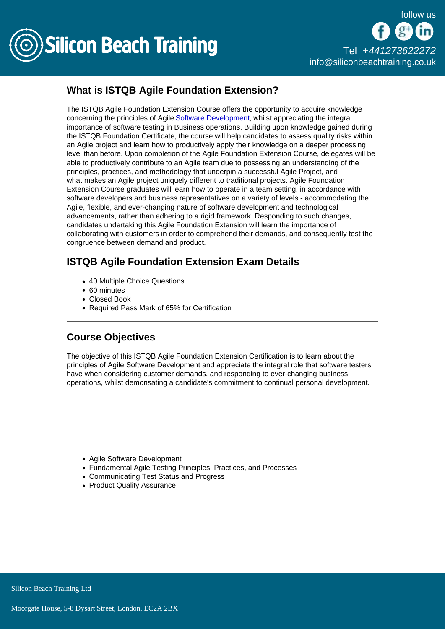

## What is ISTQB Agile Foundation Extension?

The ISTQB Agile Foundation Extension Course offers the opportunity to acquire knowledge concerning the principles of Agile [Software Development,](/software-testing-training) whilst appreciating the integral importance of software testing in Business operations. Building upon knowledge gained during the ISTQB Foundation Certificate, the course will help candidates to assess quality risks within an Agile project and learn how to productively apply their knowledge on a deeper processing level than before. Upon completion of the Agile Foundation Extension Course, delegates will be able to productively contribute to an Agile team due to possessing an understanding of the principles, practices, and methodology that underpin a successful Agile Project, and what makes an Agile project uniquely different to traditional projects. Agile Foundation Extension Course graduates will learn how to operate in a team setting, in accordance with software developers and business representatives on a variety of levels - accommodating the Agile, flexible, and ever-changing nature of software development and technological advancements, rather than adhering to a rigid framework. Responding to such changes, candidates undertaking this Agile Foundation Extension will learn the importance of collaborating with customers in order to comprehend their demands, and consequently test the congruence between demand and product.

## ISTQB Agile Foundation Extension Exam Details

- 40 Multiple Choice Questions
- 60 minutes
- Closed Book
- Required Pass Mark of 65% for Certification

## Course Objectives

The objective of this ISTQB Agile Foundation Extension Certification is to learn about the principles of Agile Software Development and appreciate the integral role that software testers have when considering customer demands, and responding to ever-changing business operations, whilst demonsating a candidate's commitment to continual personal development.

- Agile Software Development
- Fundamental Agile Testing Principles, Practices, and Processes
- Communicating Test Status and Progress
- Product Quality Assurance